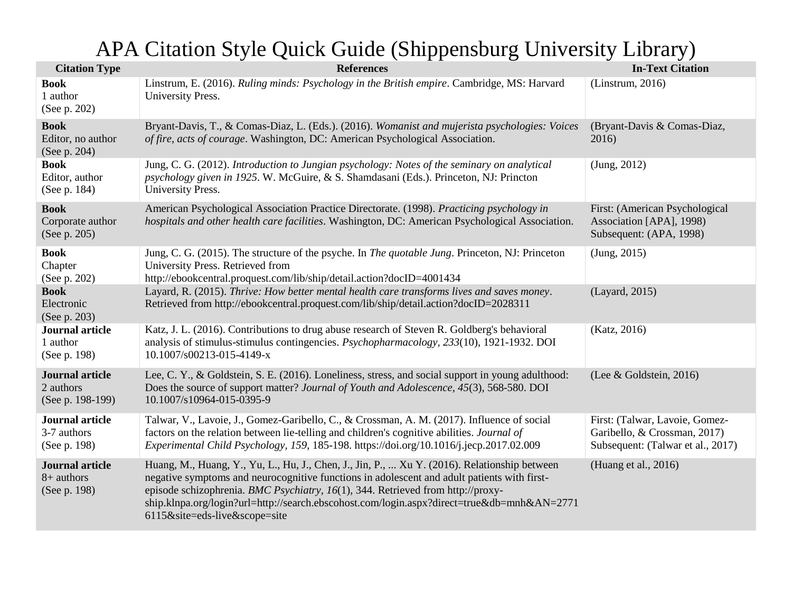## APA Citation Style Quick Guide (Shippensburg University Library)

| <b>Citation Type</b>                                    | <b>References</b>                                                                                                                                                                                                                                                                                                                                                                                             | <b>In-Text Citation</b>                                                                             |
|---------------------------------------------------------|---------------------------------------------------------------------------------------------------------------------------------------------------------------------------------------------------------------------------------------------------------------------------------------------------------------------------------------------------------------------------------------------------------------|-----------------------------------------------------------------------------------------------------|
| <b>Book</b><br>1 author<br>(See p. 202)                 | Linstrum, E. (2016). Ruling minds: Psychology in the British empire. Cambridge, MS: Harvard<br>University Press.                                                                                                                                                                                                                                                                                              | (Linstrum, 2016)                                                                                    |
| <b>Book</b><br>Editor, no author<br>(See p. 204)        | Bryant-Davis, T., & Comas-Diaz, L. (Eds.). (2016). Womanist and mujerista psychologies: Voices<br>of fire, acts of courage. Washington, DC: American Psychological Association.                                                                                                                                                                                                                               | (Bryant-Davis & Comas-Diaz,<br>2016)                                                                |
| <b>Book</b><br>Editor, author<br>(See p. 184)           | Jung, C. G. (2012). Introduction to Jungian psychology: Notes of the seminary on analytical<br>psychology given in 1925. W. McGuire, & S. Shamdasani (Eds.). Princeton, NJ: Princton<br>University Press.                                                                                                                                                                                                     | (Jung, 2012)                                                                                        |
| <b>Book</b><br>Corporate author<br>(See p. 205)         | American Psychological Association Practice Directorate. (1998). Practicing psychology in<br>hospitals and other health care facilities. Washington, DC: American Psychological Association.                                                                                                                                                                                                                  | First: (American Psychological<br>Association [APA], 1998)<br>Subsequent: (APA, 1998)               |
| <b>Book</b><br>Chapter<br>(See p. 202)                  | Jung, C. G. (2015). The structure of the psyche. In <i>The quotable Jung</i> . Princeton, NJ: Princeton<br>University Press. Retrieved from<br>http://ebookcentral.proquest.com/lib/ship/detail.action?docID=4001434                                                                                                                                                                                          | (Jung, 2015)                                                                                        |
| <b>Book</b><br>Electronic<br>(See p. 203)               | Layard, R. (2015). Thrive: How better mental health care transforms lives and saves money.<br>Retrieved from http://ebookcentral.proquest.com/lib/ship/detail.action?docID=2028311                                                                                                                                                                                                                            | (Layard, 2015)                                                                                      |
| <b>Journal article</b><br>1 author<br>(See p. 198)      | Katz, J. L. (2016). Contributions to drug abuse research of Steven R. Goldberg's behavioral<br>analysis of stimulus-stimulus contingencies. <i>Psychopharmacology</i> , 233(10), 1921-1932. DOI<br>10.1007/s00213-015-4149-x                                                                                                                                                                                  | (Katz, 2016)                                                                                        |
| <b>Journal article</b><br>2 authors<br>(See p. 198-199) | Lee, C. Y., & Goldstein, S. E. (2016). Loneliness, stress, and social support in young adulthood:<br>Does the source of support matter? Journal of Youth and Adolescence, 45(3), 568-580. DOI<br>10.1007/s10964-015-0395-9                                                                                                                                                                                    | (Lee & Goldstein, 2016)                                                                             |
| Journal article<br>3-7 authors<br>(See p. 198)          | Talwar, V., Lavoie, J., Gomez-Garibello, C., & Crossman, A. M. (2017). Influence of social<br>factors on the relation between lie-telling and children's cognitive abilities. Journal of<br>Experimental Child Psychology, 159, 185-198. https://doi.org/10.1016/j.jecp.2017.02.009                                                                                                                           | First: (Talwar, Lavoie, Gomez-<br>Garibello, & Crossman, 2017)<br>Subsequent: (Talwar et al., 2017) |
| <b>Journal article</b><br>$8+$ authors<br>(See p. 198)  | Huang, M., Huang, Y., Yu, L., Hu, J., Chen, J., Jin, P.,  Xu Y. (2016). Relationship between<br>negative symptoms and neurocognitive functions in adolescent and adult patients with first-<br>episode schizophrenia. BMC Psychiatry, 16(1), 344. Retrieved from http://proxy-<br>ship.klnpa.org/login?url=http://search.ebscohost.com/login.aspx?direct=true&db=mnh&AN=2771<br>6115&site=eds-live&scope=site | (Huang et al., 2016)                                                                                |